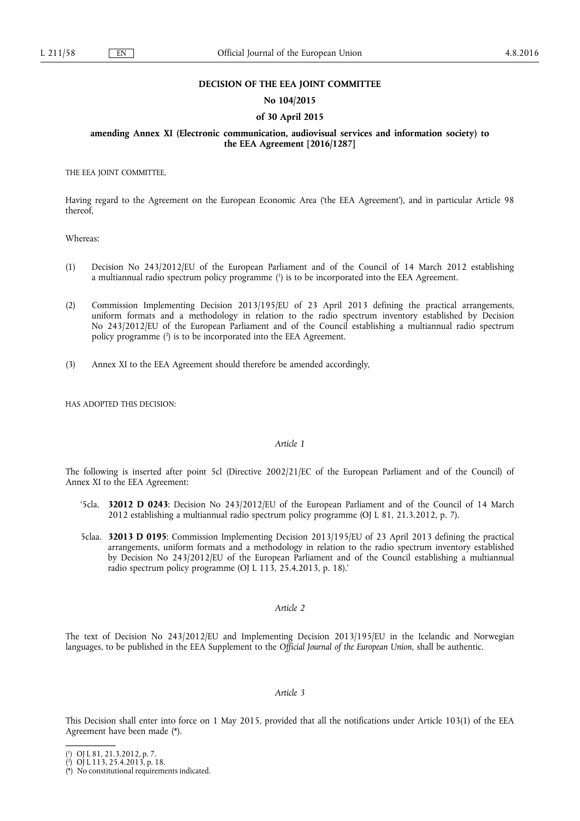#### **DECISION OF THE EEA JOINT COMMITTEE**

## **No 104/2015**

## **of 30 April 2015**

## **amending Annex XI (Electronic communication, audiovisual services and information society) to the EEA Agreement [2016/1287]**

THE EEA JOINT COMMITTEE,

Having regard to the Agreement on the European Economic Area ('the EEA Agreement'), and in particular Article 98 thereof,

Whereas:

- (1) Decision No 243/2012/EU of the European Parliament and of the Council of 14 March 2012 establishing a multiannual radio spectrum policy programme ( 1 ) is to be incorporated into the EEA Agreement.
- (2) Commission Implementing Decision 2013/195/EU of 23 April 2013 defining the practical arrangements, uniform formats and a methodology in relation to the radio spectrum inventory established by Decision No 243/2012/EU of the European Parliament and of the Council establishing a multiannual radio spectrum policy programme ( 2 ) is to be incorporated into the EEA Agreement.
- (3) Annex XI to the EEA Agreement should therefore be amended accordingly,

HAS ADOPTED THIS DECISION:

## *Article 1*

The following is inserted after point 5cl (Directive 2002/21/EC of the European Parliament and of the Council) of Annex XI to the EEA Agreement:

- '5cla. **32012 D 0243**: Decision No 243/2012/EU of the European Parliament and of the Council of 14 March 2012 establishing a multiannual radio spectrum policy programme (OJ L 81, 21.3.2012, p. 7).
- 5claa. **32013 D 0195**: Commission Implementing Decision 2013/195/EU of 23 April 2013 defining the practical arrangements, uniform formats and a methodology in relation to the radio spectrum inventory established by Decision No 243/2012/EU of the European Parliament and of the Council establishing a multiannual radio spectrum policy programme (OJ L 113, 25.4.2013, p. 18).'

#### *Article 2*

The text of Decision No 243/2012/EU and Implementing Decision 2013/195/EU in the Icelandic and Norwegian languages, to be published in the EEA Supplement to the *Official Journal of the European Union*, shall be authentic.

#### *Article 3*

This Decision shall enter into force on 1 May 2015, provided that all the notifications under Article 103(1) of the EEA Agreement have been made (\*).

<sup>(</sup> 1 ) OJ L 81, 21.3.2012, p. 7.

<sup>(</sup> 2 ) OJ L 113, 25.4.2013, p. 18.

<sup>(\*)</sup> No constitutional requirements indicated.